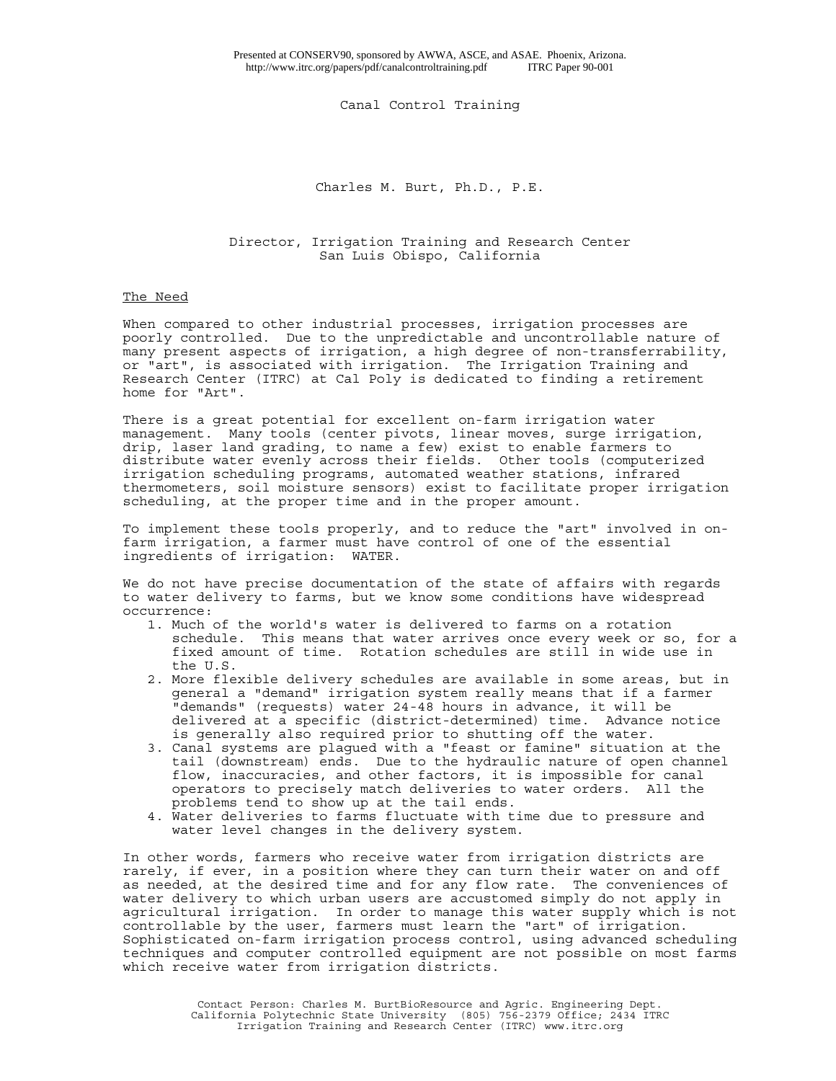Canal Control Training

Charles M. Burt, Ph.D., P.E.

Director, Irrigation Training and Research Center San Luis Obispo, California

# The Need

When compared to other industrial processes, irrigation processes are poorly controlled. Due to the unpredictable and uncontrollable nature of many present aspects of irrigation, a high degree of non-transferrability, or "art", is associated with irrigation. The Irrigation Training and Research Center (ITRC) at Cal Poly is dedicated to finding a retirement home for "Art".

There is a great potential for excellent on-farm irrigation water management. Many tools (center pivots, linear moves, surge irrigation, drip, laser land grading, to name a few) exist to enable farmers to distribute water evenly across their fields. Other tools (computerized irrigation scheduling programs, automated weather stations, infrared thermometers, soil moisture sensors) exist to facilitate proper irrigation scheduling, at the proper time and in the proper amount.

To implement these tools properly, and to reduce the "art" involved in onfarm irrigation, a farmer must have control of one of the essential ingredients of irrigation: WATER.

We do not have precise documentation of the state of affairs with regards to water delivery to farms, but we know some conditions have widespread occurrence:

- 1. Much of the world's water is delivered to farms on a rotation schedule. This means that water arrives once every week or so, for a fixed amount of time. Rotation schedules are still in wide use in the U.S.
- 2. More flexible delivery schedules are available in some areas, but in general a "demand" irrigation system really means that if a farmer "demands" (requests) water 24-48 hours in advance, it will be delivered at a specific (district-determined) time. Advance notice is generally also required prior to shutting off the water.
- 3. Canal systems are plagued with a "feast or famine" situation at the tail (downstream) ends. Due to the hydraulic nature of open channel flow, inaccuracies, and other factors, it is impossible for canal operators to precisely match deliveries to water orders. All the problems tend to show up at the tail ends.
- 4. Water deliveries to farms fluctuate with time due to pressure and water level changes in the delivery system.

In other words, farmers who receive water from irrigation districts are rarely, if ever, in a position where they can turn their water on and off as needed, at the desired time and for any flow rate. The conveniences of water delivery to which urban users are accustomed simply do not apply in agricultural irrigation. In order to manage this water supply which is not controllable by the user, farmers must learn the "art" of irrigation. Sophisticated on-farm irrigation process control, using advanced scheduling techniques and computer controlled equipment are not possible on most farms which receive water from irrigation districts.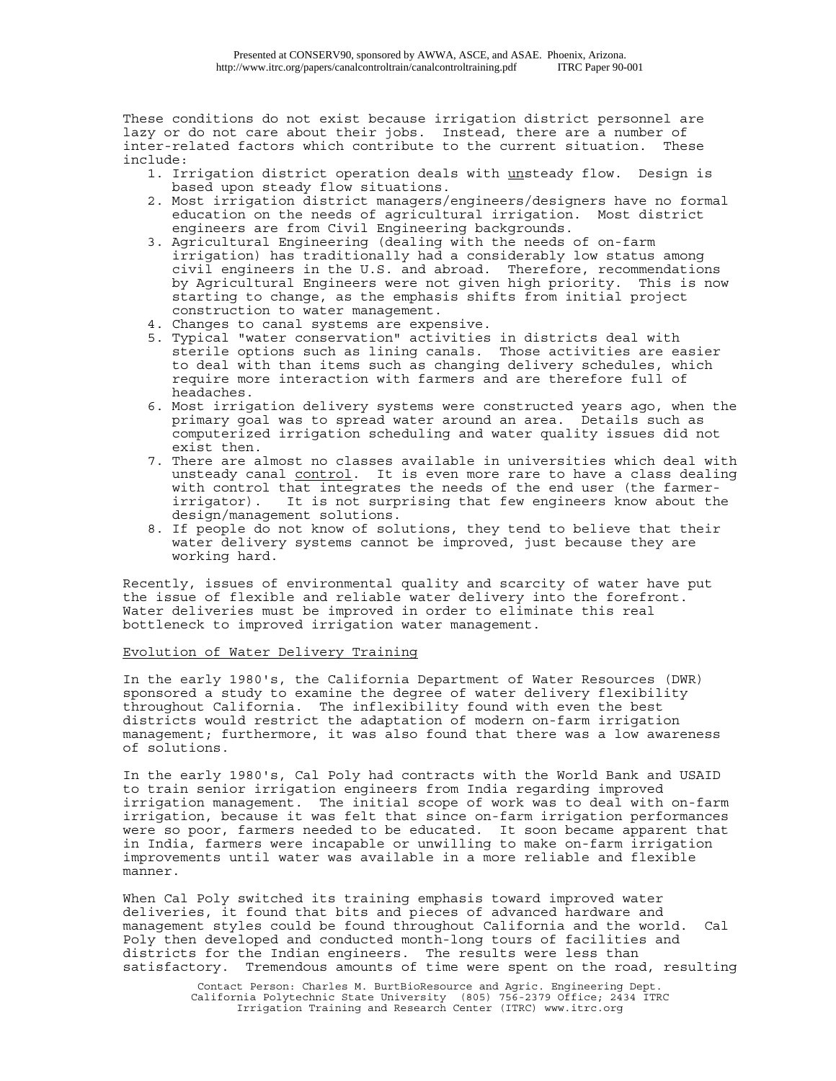These conditions do not exist because irrigation district personnel are lazy or do not care about their jobs. Instead, there are a number of inter-related factors which contribute to the current situation. These include:

- 1. Irrigation district operation deals with unsteady flow. Design is based upon steady flow situations.
- 2. Most irrigation district managers/engineers/designers have no formal education on the needs of agricultural irrigation. Most district engineers are from Civil Engineering backgrounds.
- 3. Agricultural Engineering (dealing with the needs of on-farm irrigation) has traditionally had a considerably low status among civil engineers in the U.S. and abroad. Therefore, recommendations by Agricultural Engineers were not given high priority. This is now starting to change, as the emphasis shifts from initial project construction to water management.
- 4. Changes to canal systems are expensive.
- 5. Typical "water conservation" activities in districts deal with sterile options such as lining canals. Those activities are easier to deal with than items such as changing delivery schedules, which require more interaction with farmers and are therefore full of headaches.
- 6. Most irrigation delivery systems were constructed years ago, when the primary goal was to spread water around an area. Details such as computerized irrigation scheduling and water quality issues did not exist then.
- 7. There are almost no classes available in universities which deal with unsteady canal control. It is even more rare to have a class dealing with control that integrates the needs of the end user (the farmerirrigator). It is not surprising that few engineers know about the design/management solutions.
- 8. If people do not know of solutions, they tend to believe that their water delivery systems cannot be improved, just because they are working hard.

Recently, issues of environmental quality and scarcity of water have put the issue of flexible and reliable water delivery into the forefront. Water deliveries must be improved in order to eliminate this real bottleneck to improved irrigation water management.

# Evolution of Water Delivery Training

In the early 1980's, the California Department of Water Resources (DWR) sponsored a study to examine the degree of water delivery flexibility throughout California. The inflexibility found with even the best districts would restrict the adaptation of modern on-farm irrigation management; furthermore, it was also found that there was a low awareness of solutions.

In the early 1980's, Cal Poly had contracts with the World Bank and USAID to train senior irrigation engineers from India regarding improved irrigation management. The initial scope of work was to deal with on-farm irrigation, because it was felt that since on-farm irrigation performances were so poor, farmers needed to be educated. It soon became apparent that in India, farmers were incapable or unwilling to make on-farm irrigation improvements until water was available in a more reliable and flexible manner.

When Cal Poly switched its training emphasis toward improved water deliveries, it found that bits and pieces of advanced hardware and management styles could be found throughout California and the world. Cal Poly then developed and conducted month-long tours of facilities and districts for the Indian engineers. The results were less than satisfactory. Tremendous amounts of time were spent on the road, resulting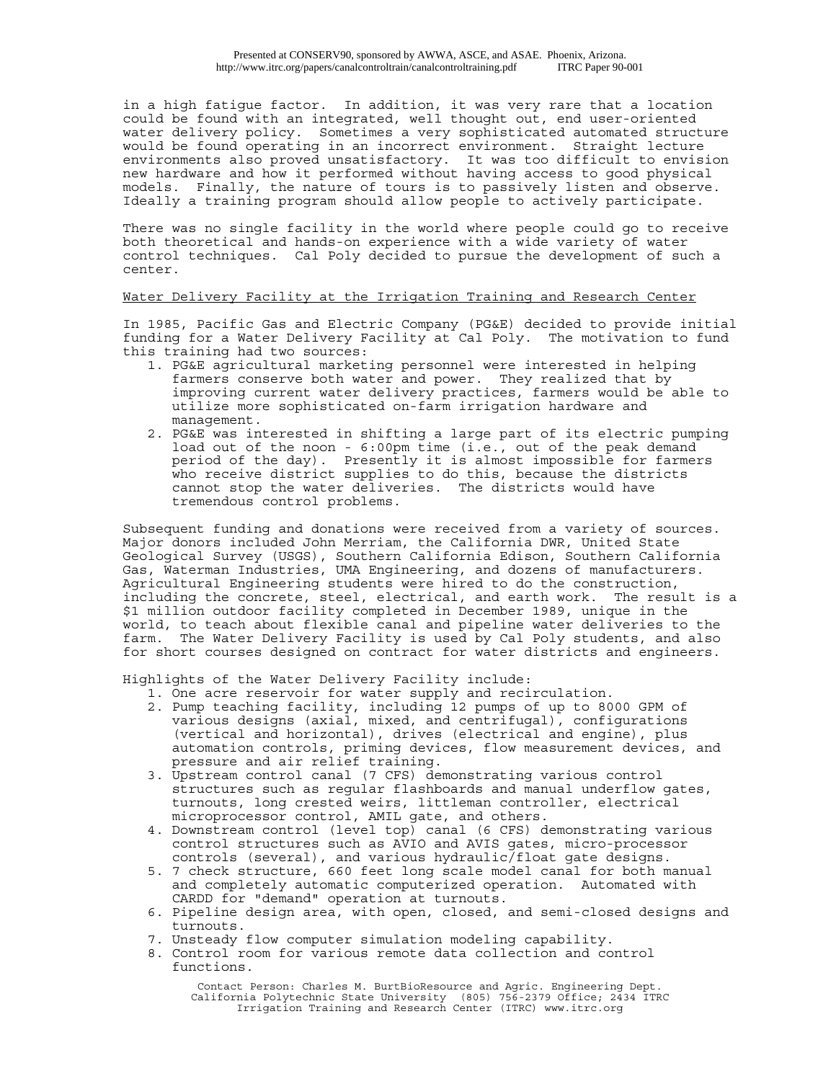in a high fatigue factor. In addition, it was very rare that a location could be found with an integrated, well thought out, end user-oriented water delivery policy. Sometimes a very sophisticated automated structure would be found operating in an incorrect environment. Straight lecture environments also proved unsatisfactory. It was too difficult to envision new hardware and how it performed without having access to good physical models. Finally, the nature of tours is to passively listen and observe. Ideally a training program should allow people to actively participate.

There was no single facility in the world where people could go to receive both theoretical and hands-on experience with a wide variety of water control techniques. Cal Poly decided to pursue the development of such a center.

### Water Delivery Facility at the Irrigation Training and Research Center

In 1985, Pacific Gas and Electric Company (PG&E) decided to provide initial funding for a Water Delivery Facility at Cal Poly. The motivation to fund this training had two sources:

- 1. PG&E agricultural marketing personnel were interested in helping farmers conserve both water and power. They realized that by improving current water delivery practices, farmers would be able to utilize more sophisticated on-farm irrigation hardware and management.
- 2. PG&E was interested in shifting a large part of its electric pumping load out of the noon - 6:00pm time (i.e., out of the peak demand period of the day). Presently it is almost impossible for farmers who receive district supplies to do this, because the districts cannot stop the water deliveries. The districts would have tremendous control problems.

Subsequent funding and donations were received from a variety of sources. Major donors included John Merriam, the California DWR, United State Geological Survey (USGS), Southern California Edison, Southern California Gas, Waterman Industries, UMA Engineering, and dozens of manufacturers. Agricultural Engineering students were hired to do the construction, including the concrete, steel, electrical, and earth work. The result is a \$1 million outdoor facility completed in December 1989, unique in the world, to teach about flexible canal and pipeline water deliveries to the farm. The Water Delivery Facility is used by Cal Poly students, and also for short courses designed on contract for water districts and engineers.

Highlights of the Water Delivery Facility include:

- 1. One acre reservoir for water supply and recirculation.
- 2. Pump teaching facility, including 12 pumps of up to 8000 GPM of various designs (axial, mixed, and centrifugal), configurations (vertical and horizontal), drives (electrical and engine), plus automation controls, priming devices, flow measurement devices, and pressure and air relief training.
- 3. Upstream control canal (7 CFS) demonstrating various control structures such as regular flashboards and manual underflow gates, turnouts, long crested weirs, littleman controller, electrical microprocessor control, AMIL gate, and others.
- 4. Downstream control (level top) canal (6 CFS) demonstrating various control structures such as AVIO and AVIS gates, micro-processor controls (several), and various hydraulic/float gate designs.
- 5. 7 check structure, 660 feet long scale model canal for both manual and completely automatic computerized operation. Automated with CARDD for "demand" operation at turnouts.
- 6. Pipeline design area, with open, closed, and semi-closed designs and turnouts.
- 7. Unsteady flow computer simulation modeling capability.
- 8. Control room for various remote data collection and control functions.